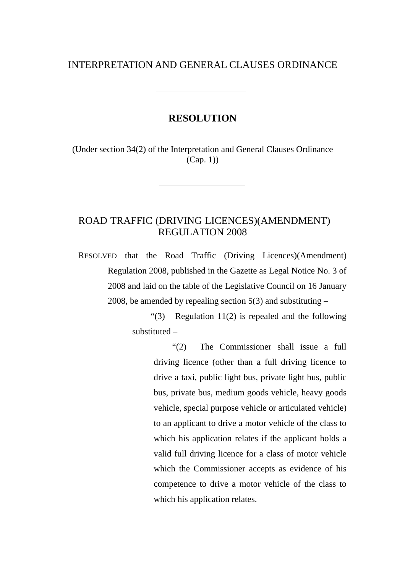## INTERPRETATION AND GENERAL CLAUSES ORDINANCE

## **RESOLUTION**

(Under section 34(2) of the Interpretation and General Clauses Ordinance (Cap. 1))

## ROAD TRAFFIC (DRIVING LICENCES)(AMENDMENT) REGULATION 2008

RESOLVED that the Road Traffic (Driving Licences)(Amendment) Regulation 2008, published in the Gazette as Legal Notice No. 3 of 2008 and laid on the table of the Legislative Council on 16 January 2008, be amended by repealing section  $5(3)$  and substituting –

> "(3) Regulation 11(2) is repealed and the following substituted –

> > "(2) The Commissioner shall issue a full driving licence (other than a full driving licence to drive a taxi, public light bus, private light bus, public bus, private bus, medium goods vehicle, heavy goods vehicle, special purpose vehicle or articulated vehicle) to an applicant to drive a motor vehicle of the class to which his application relates if the applicant holds a valid full driving licence for a class of motor vehicle which the Commissioner accepts as evidence of his competence to drive a motor vehicle of the class to which his application relates.